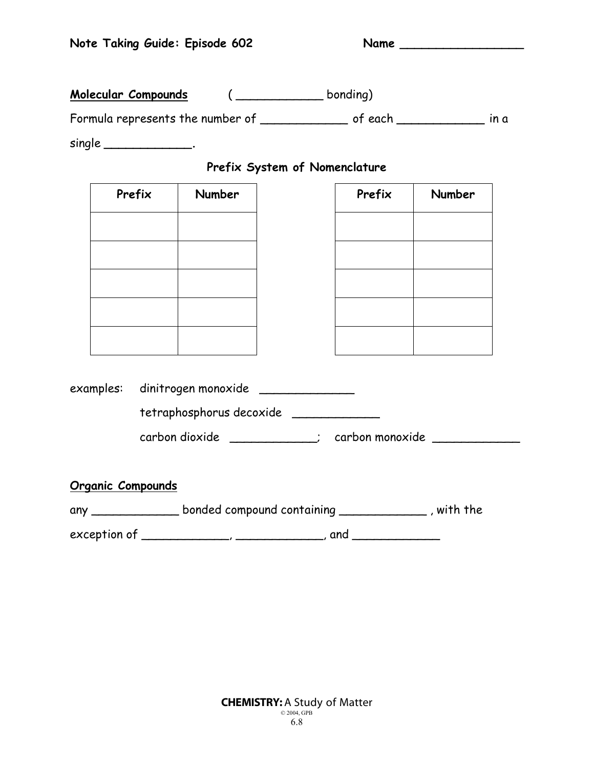**Molecular Compounds** ( \_\_\_\_\_\_\_\_\_\_\_\_ bonding)

Formula represents the number of \_\_\_\_\_\_\_\_\_\_\_\_ of each **\_\_\_\_\_\_\_\_\_\_\_\_** in a

single **\_\_\_\_\_\_\_\_\_\_\_\_.**

## **Prefix System of Nomenclature**

| Prefix |  | Number                                                  | Prefix | <b>Number</b> |
|--------|--|---------------------------------------------------------|--------|---------------|
|        |  |                                                         |        |               |
|        |  |                                                         |        |               |
|        |  |                                                         |        |               |
|        |  |                                                         |        |               |
|        |  |                                                         |        |               |
|        |  |                                                         |        |               |
|        |  | examples: dinitrogen monoxide _____________             |        |               |
|        |  | tetraphosphorus decoxide                                |        |               |
|        |  | carbon dioxide ___________; carbon monoxide ___________ |        |               |

exception of \_\_\_\_\_\_\_\_\_\_\_\_, \_\_\_\_\_\_\_\_\_\_\_\_, and \_\_\_\_\_\_\_\_\_\_\_\_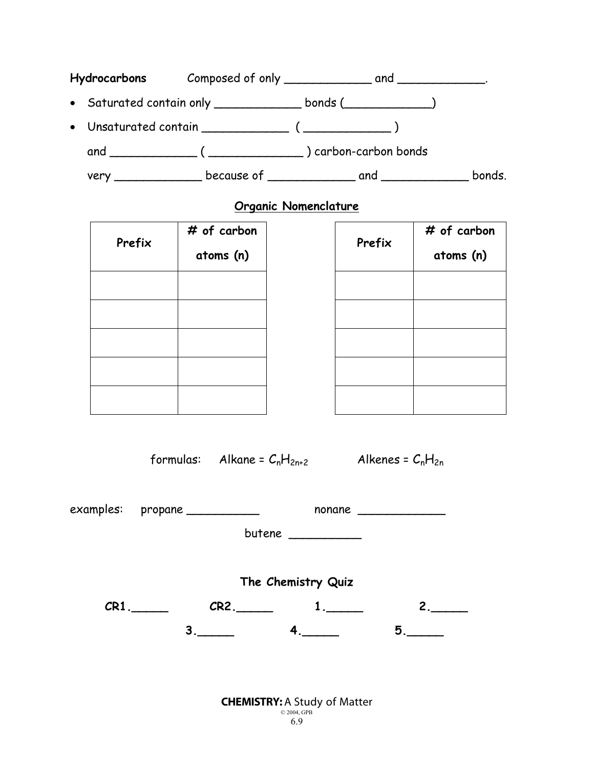|  | • Saturated contain only ________________ bonds (______________) |        |
|--|------------------------------------------------------------------|--------|
|  | • Unsaturated contain (2000)                                     |        |
|  | and (Christman (Christman (Christman ) carbon-carbon bonds       |        |
|  |                                                                  | bonds. |

## **Organic Nomenclature**

| Prefix | # of carbon<br>atoms (n) | Prefix | # of carbon<br>atoms (n) |  |
|--------|--------------------------|--------|--------------------------|--|
|        |                          |        |                          |  |
|        |                          |        |                          |  |
|        |                          |        |                          |  |
|        |                          |        |                          |  |
|        |                          |        |                          |  |

formulas: Alkane =  $C_nH_{2n+2}$  Alkenes =  $C_nH_{2n}$ 

|                    | examples: propane ___________ |         |              | nonane  |  |  |  |  |  |
|--------------------|-------------------------------|---------|--------------|---------|--|--|--|--|--|
|                    |                               |         |              |         |  |  |  |  |  |
|                    |                               |         |              |         |  |  |  |  |  |
| The Chemistry Quiz |                               |         |              |         |  |  |  |  |  |
|                    | $CR1$ .                       | $CR2$ . |              | $2_{1}$ |  |  |  |  |  |
|                    |                               | 3.      | $\mathbf{4}$ | 5.      |  |  |  |  |  |
|                    |                               |         |              |         |  |  |  |  |  |

**CHEMISTRY: A Study of Matter**  $\frac{62004, \text{GPB}}{6.9}$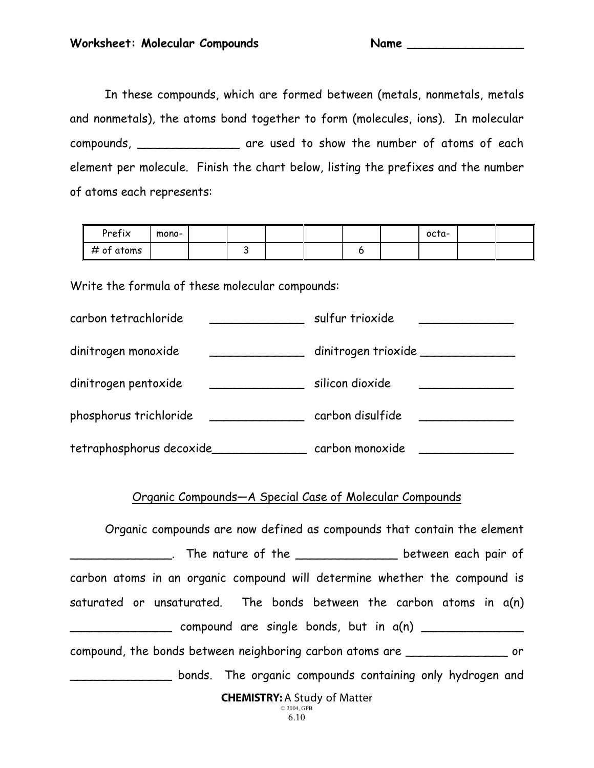In these compounds, which are formed between (metals, nonmetals, metals and nonmetals), the atoms bond together to form (molecules, ions). In molecular compounds, \_\_\_\_\_\_\_\_\_\_\_\_\_\_ are used to show the number of atoms of each element per molecule. Finish the chart below, listing the prefixes and the number of atoms each represents:

| Prefix          | mono- |  |  |  | octa- |  |
|-----------------|-------|--|--|--|-------|--|
| # of atoms<br>Ш |       |  |  |  |       |  |

Write the formula of these molecular compounds:

| carbon tetrachloride     | sulfur trioxide                     |
|--------------------------|-------------------------------------|
| dinitrogen monoxide      | dinitrogen trioxide _______________ |
| dinitrogen pentoxide     | silicon dioxide                     |
| phosphorus trichloride   | carbon disulfide                    |
| tetraphosphorus decoxide | carbon monoxide                     |

## Organic Compounds—A Special Case of Molecular Compounds

CHEMISTRY: A Study of Matter © 2004, GPB Organic compounds are now defined as compounds that contain the element \_\_\_\_\_\_\_\_\_\_\_. The nature of the \_\_\_\_\_\_\_\_\_\_\_\_\_\_\_\_\_\_\_\_ between each pair of carbon atoms in an organic compound will determine whether the compound is saturated or unsaturated. The bonds between the carbon atoms in a(n)  $\Box$  compound are single bonds, but in  $a(n)$ compound, the bonds between neighboring carbon atoms are \_\_\_\_\_\_\_\_\_\_\_\_\_\_ or bonds. The organic compounds containing only hydrogen and